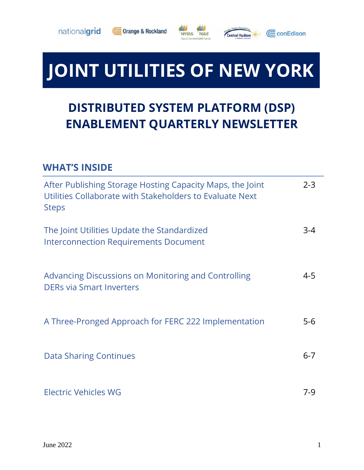





# **JOINT UTILITIES OF NEW YORK**

## **DISTRIBUTED SYSTEM PLATFORM (DSP) ENABLEMENT QUARTERLY NEWSLETTER**

#### **WHAT'S INSIDE**

| After Publishing Storage Hosting Capacity Maps, the Joint<br>Utilities Collaborate with Stakeholders to Evaluate Next<br><b>Steps</b> | $2 - 3$ |
|---------------------------------------------------------------------------------------------------------------------------------------|---------|
| The Joint Utilities Update the Standardized<br><b>Interconnection Requirements Document</b>                                           | $3-4$   |
| Advancing Discussions on Monitoring and Controlling<br><b>DERs via Smart Inverters</b>                                                | $4 - 5$ |
| A Three-Pronged Approach for FERC 222 Implementation                                                                                  | $5-6$   |
| <b>Data Sharing Continues</b>                                                                                                         | $6 - 7$ |
| Electric Vehicles WG                                                                                                                  | 7-9     |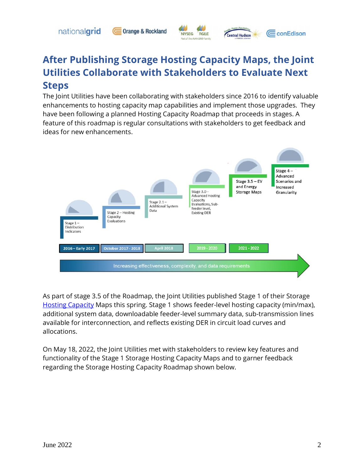nationalgrid

#### **Orange & Rockland**



**Central Hudson** 

CconEdison

## **After Publishing Storage Hosting Capacity Maps, the Joint Utilities Collaborate with Stakeholders to Evaluate Next Steps**

The Joint Utilities have been collaborating with stakeholders since 2016 to identify valuable enhancements to hosting capacity map capabilities and implement those upgrades. They have been following a planned Hosting Capacity Roadmap that proceeds in stages. A feature of this roadmap is regular consultations with stakeholders to get feedback and ideas for new enhancements.



As part of stage 3.5 of the Roadmap, the Joint Utilities published Stage 1 of their Storage [Hosting Capacity](https://jointutilitiesofny.org/utility-specific-pages/hosting-capacity) Maps this spring. Stage 1 shows feeder-level hosting capacity (min/max), additional system data, downloadable feeder-level summary data, sub-transmission lines available for interconnection, and reflects existing DER in circuit load curves and allocations.

On May 18, 2022, the Joint Utilities met with stakeholders to review key features and functionality of the Stage 1 Storage Hosting Capacity Maps and to garner feedback regarding the Storage Hosting Capacity Roadmap shown below.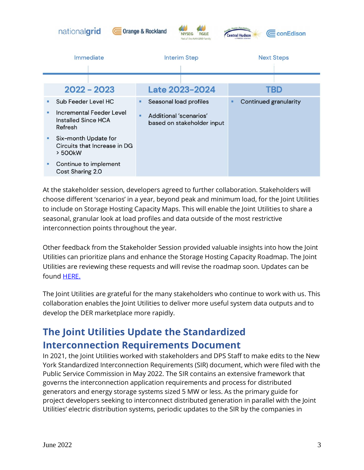

At the stakeholder session, developers agreed to further collaboration. Stakeholders will choose different 'scenarios' in a year, beyond peak and minimum load, for the Joint Utilities to include on Storage Hosting Capacity Maps. This will enable the Joint Utilities to share a seasonal, granular look at load profiles and data outside of the most restrictive interconnection points throughout the year.

Other feedback from the Stakeholder Session provided valuable insights into how the Joint Utilities can prioritize plans and enhance the Storage Hosting Capacity Roadmap. The Joint Utilities are reviewing these requests and will revise the roadmap soon. Updates can be found **HERE.** 

The Joint Utilities are grateful for the many stakeholders who continue to work with us. This collaboration enables the Joint Utilities to deliver more useful system data outputs and to develop the DER marketplace more rapidly.

## **The Joint Utilities Update the Standardized Interconnection Requirements Document**

In 2021, the Joint Utilities worked with stakeholders and DPS Staff to make edits to the New York Standardized Interconnection Requirements (SIR) document, which were filed with the Public Service Commission in May 2022. The SIR contains an extensive framework that governs the interconnection application requirements and process for distributed generators and energy storage systems sized 5 MW or less. As the primary guide for project developers seeking to interconnect distributed generation in parallel with the Joint Utilities' electric distribution systems, periodic updates to the SIR by the companies in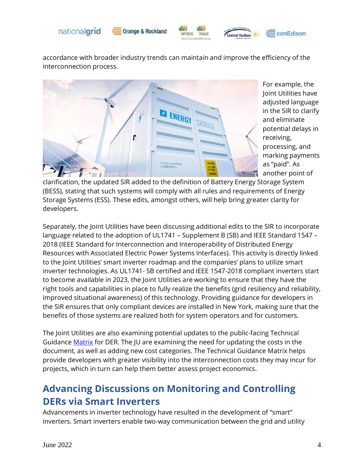





accordance with broader industry trends can maintain and improve the efficiency of the interconnection process.



For example, the Joint Utilities have adjusted language in the SIR to clarify and eliminate potential delays in receiving, processing, and marking payments as "paid". As another point of

clarification, the updated SIR added to the definition of Battery Energy Storage System (BESS), stating that such systems will comply with all rules and requirements of Energy Storage Systems (ESS). These edits, amongst others, will help bring greater clarity for developers.

Separately, the Joint Utilities have been discussing additional edits to the SIR to incorporate language related to the adoption of UL1741 – Supplement B (SB) and IEEE Standard 1547 – 2018 (IEEE Standard for Interconnection and Interoperability of Distributed Energy Resources with Associated Electric Power Systems Interfaces). This activity is directly linked to the Joint Utilities' smart inverter roadmap and the companies' plans to utilize smart inverter technologies. As UL1741- SB certified and IEEE 1547-2018 compliant inverters start to become available in 2023, the Joint Utilities are working to ensure that they have the right tools and capabilities in place to fully realize the benefits (grid resiliency and reliability, improved situational awareness) of this technology. Providing guidance for developers in the SIR ensures that only compliant devices are installed in New York, making sure that the benefits of those systems are realized both for system operators and for customers.

The Joint Utilities are also examining potential updates to the public-facing Technical Guidance [Matrix](https://www3.dps.ny.gov/W/PSCWeb.nsf/96f0fec0b45a3c6485257688006a701a/def2bf0a236b946f85257f71006ac98e/$FILE/48551790.pdf/Utility%20Requirements%20Matrix%20-%202019-02-11.pdf) for DER. The JU are examining the need for updating the costs in the document, as well as adding new cost categories. The Technical Guidance Matrix helps provide developers with greater visibility into the interconnection costs they may incur for projects, which in turn can help them better assess project economics.

## **Advancing Discussions on Monitoring and Controlling DERs via Smart Inverters**

Advancements in inverter technology have resulted in the development of "smart" inverters. Smart inverters enable two-way communication between the grid and utility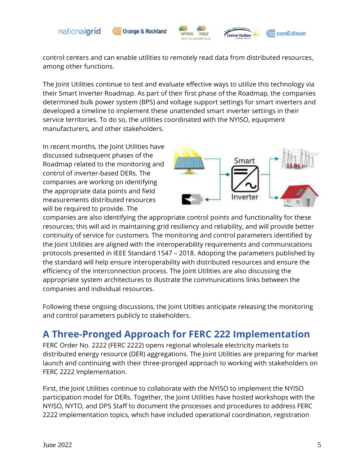

**Orange & Rockland** 



control centers and can enable utilities to remotely read data from distributed resources, among other functions.

The Joint Utilities continue to test and evaluate effective ways to utilize this technology via their Smart Inverter Roadmap. As part of their first phase of the Roadmap, the companies determined bulk power system (BPS) and voltage support settings for smart inverters and developed a timeline to implement these unattended smart inverter settings in their service territories. To do so, the utilities coordinated with the NYISO, equipment manufacturers, and other stakeholders.

In recent months, the Joint Utilities have discussed subsequent phases of the Roadmap related to the monitoring and control of inverter-based DERs. The companies are working on identifying the appropriate data points and field measurements distributed resources will be required to provide. The



entral Hudson

CconEdison

companies are also identifying the appropriate control points and functionality for these resources; this will aid in maintaining grid resiliency and reliability, and will provide better continuity of service for customers. The monitoring and control parameters identified by the Joint Utilities are aligned with the interoperability requirements and communications protocols presented in IEEE Standard 1547 – 2018. Adopting the parameters published by the standard will help ensure interoperability with distributed resources and ensure the efficiency of the interconnection process. The Joint Utilities are also discussing the appropriate system architectures to illustrate the communications links between the companies and individual resources.

Following these ongoing discussions, the Joint Utilties anticipate releasing the monitoring and control parameters publicly to stakeholders.

## **A Three-Pronged Approach for FERC 222 Implementation**

FERC Order No. 2222 (FERC 2222) opens regional wholesale electricity markets to distributed energy resource (DER) aggregations. The Joint Utilities are preparing for market launch and continuing with their three-pronged approach to working with stakeholders on FERC 2222 Implementation.

First, the Joint Utilities continue to collaborate with the NYISO to implement the NYISO participation model for DERs. Together, the Joint Utilities have hosted workshops with the NYISO, NYTO, and DPS Staff to document the processes and procedures to address FERC 2222 implementation topics, which have included operational coordination, registration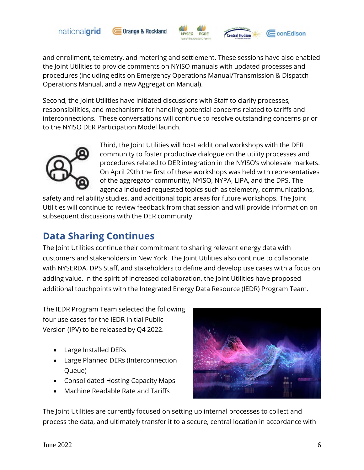





entral Hudson

and enrollment, telemetry, and metering and settlement. These sessions have also enabled the Joint Utilities to provide comments on NYISO manuals with updated processes and procedures (including edits on Emergency Operations Manual/Transmission & Dispatch Operations Manual, and a new Aggregation Manual).

Second, the Joint Utilities have initiated discussions with Staff to clarify processes, responsibilities, and mechanisms for handling potential concerns related to tariffs and interconnections. These conversations will continue to resolve outstanding concerns prior to the NYISO DER Participation Model launch.



Third, the Joint Utilities will host additional workshops with the DER community to foster productive dialogue on the utility processes and procedures related to DER integration in the NYISO's wholesale markets. On April 29th the first of these workshops was held with representatives of the aggregator community, NYISO, NYPA, LIPA, and the DPS. The agenda included requested topics such as telemetry, communications,

safety and reliability studies, and additional topic areas for future workshops. The Joint Utilities will continue to review feedback from that session and will provide information on subsequent discussions with the DER community.

## **Data Sharing Continues**

The Joint Utilities continue their commitment to sharing relevant energy data with customers and stakeholders in New York. The Joint Utilities also continue to collaborate with NYSERDA, DPS Staff, and stakeholders to define and develop use cases with a focus on adding value. In the spirit of increased collaboration, the Joint Utilities have proposed additional touchpoints with the Integrated Energy Data Resource (IEDR) Program Team.

The IEDR Program Team selected the following four use cases for the IEDR Initial Public Version (IPV) to be released by Q4 2022.

- Large Installed DERs
- Large Planned DERs (Interconnection Queue)
- Consolidated Hosting Capacity Maps
- Machine Readable Rate and Tariffs



The Joint Utilities are currently focused on setting up internal processes to collect and process the data, and ultimately transfer it to a secure, central location in accordance with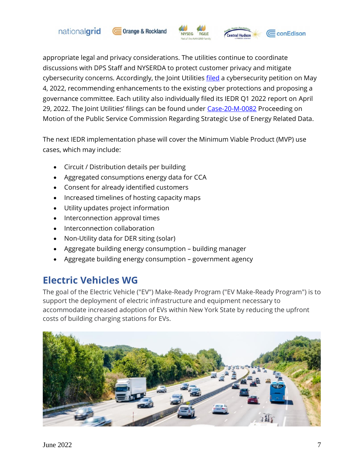







entral Hudson

appropriate legal and privacy considerations. The utilities continue to coordinate discussions with DPS Staff and NYSERDA to protect customer privacy and mitigate cybersecurity concerns. Accordingly, the Joint Utilities [filed](https://documents.dps.ny.gov/public/MatterManagement/CaseMaster.aspx?MatterCaseNo=18-M-0376&CaseSearch=Search) a cybersecurity petition on May 4, 2022, recommending enhancements to the existing cyber protections and proposing a governance committee. Each utility also individually filed its IEDR Q1 2022 report on April 29, 2022. The Joint Utilities' filings can be found under [Case-20-M-0082](https://documents.dps.ny.gov/public/MatterManagement/CaseMaster.aspx?MatterCaseNo=20-M-0082&CaseSearch=Search) Proceeding on Motion of the Public Service Commission Regarding Strategic Use of Energy Related Data.

The next IEDR implementation phase will cover the Minimum Viable Product (MVP) use cases, which may include:

- Circuit / Distribution details per building
- Aggregated consumptions energy data for CCA
- Consent for already identified customers
- Increased timelines of hosting capacity maps
- Utility updates project information
- Interconnection approval times
- Interconnection collaboration
- Non-Utility data for DER siting (solar)
- Aggregate building energy consumption building manager
- Aggregate building energy consumption government agency

## **Electric Vehicles WG**

The goal of the Electric Vehicle ("EV") Make-Ready Program ("EV Make-Ready Program") is to support the deployment of electric infrastructure and equipment necessary to accommodate increased adoption of EVs within New York State by reducing the upfront costs of building charging stations for EVs.

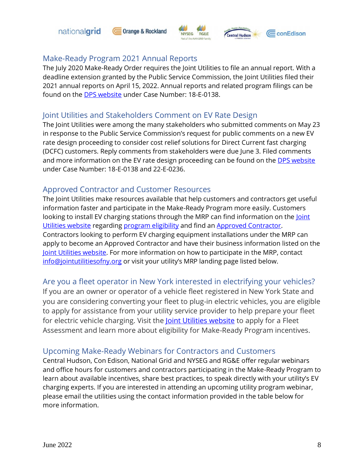







#### Make-Ready Program 2021 Annual Reports

The July 2020 Make-Ready Order requires the Joint Utilities to file an annual report. With a deadline extension granted by the Public Service Commission, the Joint Utilities filed their 2021 annual reports on April 15, 2022. Annual reports and related program filings can be found on the **DPS website** under Case Number: 18-E-0138.

#### Joint Utilities and Stakeholders Comment on EV Rate Design

The Joint Utilities were among the many stakeholders who submitted comments on May 23 in response to the Public Service Commission's request for public comments on a new EV rate design proceeding to consider cost relief solutions for Direct Current fast charging (DCFC) customers. Reply comments from stakeholders were due June 3. Filed comments and more information on the EV rate design proceeding can be found on the [DPS website](https://documents.dps.ny.gov/public/MatterManagement/CaseMaster.aspx?Mattercaseno=18-E-0138) under Case Number: 18-E-0138 and 22-E-0236.

#### Approved Contractor and Customer Resources

The Joint Utilities make resources available that help customers and contractors get useful information faster and participate in the Make-Ready Program more easily. Customers looking to install EV charging stations through the MRP can find information on the *Joint* [Utilities website](https://jointutilitiesofny.org/) regarding [program eligibility](https://jointutilitiesofny.org/ev/make-ready) and find an [Approved Contractor.](https://jointutilitiesofny.org/ev/make-ready/approved-contractors?) Contractors looking to perform EV charging equipment installations under the MRP can apply to become an Approved Contractor and have their business information listed on the [Joint Utilities website.](https://jointutilitiesofny.org/) For more information on how to participate in the MRP, contact [info@jointutilitiesofny.org](mailto:info@jointutilitiesofny.org) or visit your utility's MRP landing page listed below.

#### Are you a fleet operator in New York interested in electrifying your vehicles?

If you are an owner or operator of a vehicle fleet registered in New York State and you are considering converting your fleet to plug-in electric vehicles, you are eligible to apply for assistance from your utility service provider to help prepare your fleet for electric vehicle charging. Visit the [Joint Utilities website](https://jointutilitiesofny.org/ev/make-ready/fleet-assessment) to apply for a Fleet Assessment and learn more about eligibility for Make-Ready Program incentives.

#### Upcoming Make-Ready Webinars for Contractors and Customers

Central Hudson, Con Edison, National Grid and NYSEG and RG&E offer regular webinars and office hours for customers and contractors participating in the Make-Ready Program to learn about available incentives, share best practices, to speak directly with your utility's EV charging experts. If you are interested in attending an upcoming utility program webinar, please email the utilities using the contact information provided in the table below for more information.